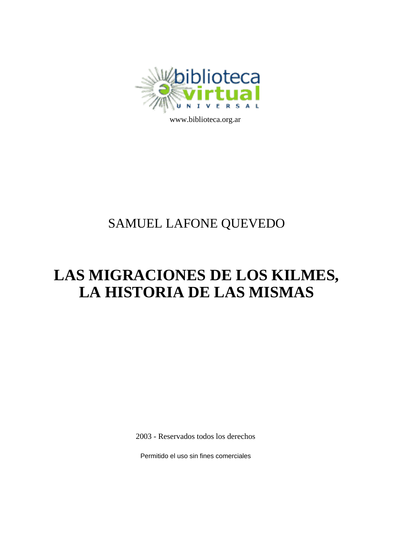

www[www.biblioteca.org.ar](http://www.biblioteca.org.ar)

## SAMUEL LAFONE QUEVEDO

# **LAS MIGRACIONES DE LOS KILMES, LA HISTORIA DE LAS MISMAS**

2003 - Reservados todos los derechos

Permitido el uso sin fines comerciales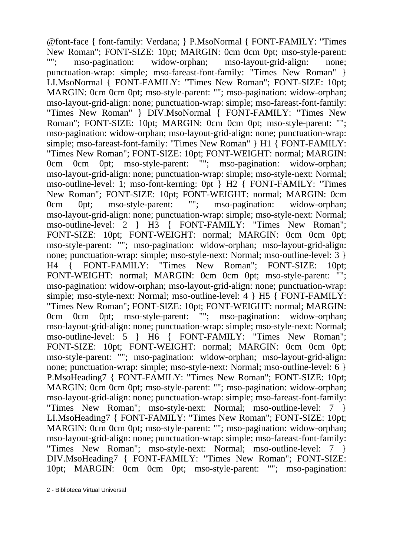@font-face { font-family: Verdana; } P.MsoNormal { FONT-FAMILY: "Times New Roman"; FONT-SIZE: 10pt; MARGIN: 0cm 0cm 0pt; mso-style-parent:<br>""; mso-pagination: widow-orphan; mso-layout-grid-align: none; mso-pagination: widow-orphan; mso-layout-grid-align: none; punctuation-wrap: simple; mso-fareast-font-family: "Times New Roman" } LI.MsoNormal { FONT-FAMILY: "Times New Roman"; FONT-SIZE: 10pt; MARGIN: 0cm 0cm 0pt; mso-style-parent: ""; mso-pagination: widow-orphan; mso-layout-grid-align: none; punctuation-wrap: simple; mso-fareast-font-family: "Times New Roman" } DIV.MsoNormal { FONT-FAMILY: "Times New Roman"; FONT-SIZE: 10pt; MARGIN: 0cm 0cm 0pt; mso-style-parent: ""; mso-pagination: widow-orphan; mso-layout-grid-align: none; punctuation-wrap: simple; mso-fareast-font-family: "Times New Roman" } H1 { FONT-FAMILY: "Times New Roman"; FONT-SIZE: 10pt; FONT-WEIGHT: normal; MARGIN: 0cm 0cm 0pt; mso-style-parent: ""; mso-pagination: widow-orphan; 0cm 0cm 0pt; mso-style-parent: ""; mso-pagination: widow-orphan; mso-layout-grid-align: none; punctuation-wrap: simple; mso-style-next: Normal; mso-outline-level: 1; mso-font-kerning: 0pt } H2 { FONT-FAMILY: "Times New Roman"; FONT-SIZE: 10pt; FONT-WEIGHT: normal; MARGIN: 0cm 0cm 0pt; mso-style-parent: ""; mso-pagination: widow-orphan; mso-layout-grid-align: none; punctuation-wrap: simple; mso-style-next: Normal; mso-outline-level: 2 } H3 { FONT-FAMILY: "Times New Roman"; FONT-SIZE: 10pt; FONT-WEIGHT: normal; MARGIN: 0cm 0cm 0pt; mso-style-parent: ""; mso-pagination: widow-orphan; mso-layout-grid-align: none; punctuation-wrap: simple; mso-style-next: Normal; mso-outline-level: 3 } H4 { FONT-FAMILY: "Times New Roman"; FONT-SIZE: 10pt; FONT-WEIGHT: normal; MARGIN: 0cm 0cm 0pt; mso-style-parent: mso-pagination: widow-orphan; mso-layout-grid-align: none; punctuation-wrap: simple; mso-style-next: Normal; mso-outline-level: 4 } H5 { FONT-FAMILY: "Times New Roman"; FONT-SIZE: 10pt; FONT-WEIGHT: normal; MARGIN: 0cm 0cm 0pt; mso-style-parent: ""; mso-pagination: widow-orphan; mso-layout-grid-align: none; punctuation-wrap: simple; mso-style-next: Normal; mso-outline-level: 5 } H6 { FONT-FAMILY: "Times New Roman"; FONT-SIZE: 10pt; FONT-WEIGHT: normal; MARGIN: 0cm 0cm 0pt; mso-style-parent: ""; mso-pagination: widow-orphan; mso-layout-grid-align: none; punctuation-wrap: simple; mso-style-next: Normal; mso-outline-level: 6 } P.MsoHeading7 { FONT-FAMILY: "Times New Roman"; FONT-SIZE: 10pt; MARGIN: 0cm 0cm 0pt; mso-style-parent: ""; mso-pagination: widow-orphan; mso-layout-grid-align: none; punctuation-wrap: simple; mso-fareast-font-family: "Times New Roman"; mso-style-next: Normal; mso-outline-level: 7 } LI.MsoHeading7 { FONT-FAMILY: "Times New Roman"; FONT-SIZE: 10pt; MARGIN: 0cm 0cm 0pt; mso-style-parent: ""; mso-pagination: widow-orphan; mso-layout-grid-align: none; punctuation-wrap: simple; mso-fareast-font-family: "Times New Roman"; mso-style-next: Normal; mso-outline-level: 7 } DIV.MsoHeading7 { FONT-FAMILY: "Times New Roman"; FONT-SIZE: 10pt; MARGIN: 0cm 0cm 0pt; mso-style-parent: ""; mso-pagination:

<sup>2 -</sup> Biblioteca Virtual Universal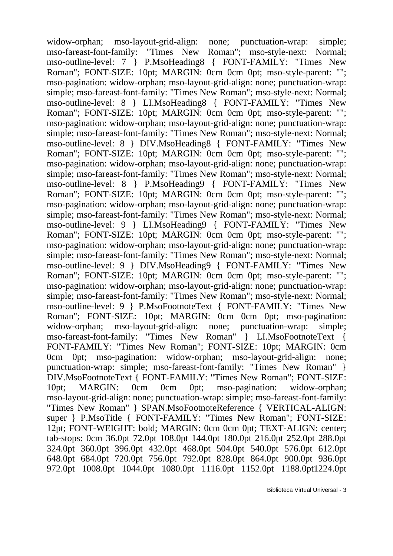widow-orphan; mso-layout-grid-align: none; punctuation-wrap: simple; mso-fareast-font-family: "Times New Roman"; mso-style-next: Normal; mso-outline-level: 7 } P.MsoHeading8 { FONT-FAMILY: "Times New Roman"; FONT-SIZE: 10pt; MARGIN: 0cm 0cm 0pt; mso-style-parent: ""; mso-pagination: widow-orphan; mso-layout-grid-align: none; punctuation-wrap: simple; mso-fareast-font-family: "Times New Roman"; mso-style-next: Normal; mso-outline-level: 8 } LI.MsoHeading8 { FONT-FAMILY: "Times New Roman"; FONT-SIZE: 10pt; MARGIN: 0cm 0cm 0pt; mso-style-parent: ""; mso-pagination: widow-orphan; mso-layout-grid-align: none; punctuation-wrap: simple; mso-fareast-font-family: "Times New Roman"; mso-style-next: Normal; mso-outline-level: 8 } DIV.MsoHeading8 { FONT-FAMILY: "Times New Roman"; FONT-SIZE: 10pt; MARGIN: 0cm 0cm 0pt; mso-style-parent: ""; mso-pagination: widow-orphan; mso-layout-grid-align: none; punctuation-wrap: simple; mso-fareast-font-family: "Times New Roman"; mso-style-next: Normal; mso-outline-level: 8 } P.MsoHeading9 { FONT-FAMILY: "Times New Roman"; FONT-SIZE: 10pt; MARGIN: 0cm 0cm 0pt; mso-style-parent: ""; mso-pagination: widow-orphan; mso-layout-grid-align: none; punctuation-wrap: simple; mso-fareast-font-family: "Times New Roman"; mso-style-next: Normal; mso-outline-level: 9 } LI.MsoHeading9 { FONT-FAMILY: "Times New Roman": FONT-SIZE: 10pt: MARGIN: 0cm 0cm 0pt: mso-style-parent: "": mso-pagination: widow-orphan; mso-layout-grid-align: none; punctuation-wrap: simple; mso-fareast-font-family: "Times New Roman"; mso-style-next: Normal; mso-outline-level: 9 } DIV.MsoHeading9 { FONT-FAMILY: "Times New Roman": FONT-SIZE: 10pt; MARGIN: 0cm 0cm 0pt; mso-style-parent: ""; mso-pagination: widow-orphan; mso-layout-grid-align: none; punctuation-wrap: simple; mso-fareast-font-family: "Times New Roman"; mso-style-next: Normal; mso-outline-level: 9 } P.MsoFootnoteText { FONT-FAMILY: "Times New Roman": FONT-SIZE: 10pt; MARGIN: 0cm 0cm 0pt; mso-pagination: widow-orphan; mso-layout-grid-align: none; punctuation-wrap: simple; mso-fareast-font-family: "Times New Roman" } LI.MsoFootnoteText { FONT-FAMILY: "Times New Roman"; FONT-SIZE: 10pt; MARGIN: 0cm 0cm 0pt; mso-pagination: widow-orphan; mso-layout-grid-align: none; punctuation-wrap: simple; mso-fareast-font-family: "Times New Roman" } DIV.MsoFootnoteText { FONT-FAMILY: "Times New Roman"; FONT-SIZE: 10pt; MARGIN: 0cm 0cm 0pt; mso-pagination: widow-orphan; mso-layout-grid-align: none; punctuation-wrap: simple; mso-fareast-font-family: "Times New Roman" } SPAN.MsoFootnoteReference { VERTICAL-ALIGN: super } P.MsoTitle { FONT-FAMILY: "Times New Roman"; FONT-SIZE: 12pt; FONT-WEIGHT: bold; MARGIN: 0cm 0cm 0pt; TEXT-ALIGN: center; tab-stops: 0cm 36.0pt 72.0pt 108.0pt 144.0pt 180.0pt 216.0pt 252.0pt 288.0pt 324.0pt 360.0pt 396.0pt 432.0pt 468.0pt 504.0pt 540.0pt 576.0pt 612.0pt 648.0pt 684.0pt 720.0pt 756.0pt 792.0pt 828.0pt 864.0pt 900.0pt 936.0pt 972.0pt 1008.0pt 1044.0pt 1080.0pt 1116.0pt 1152.0pt 1188.0pt1224.0pt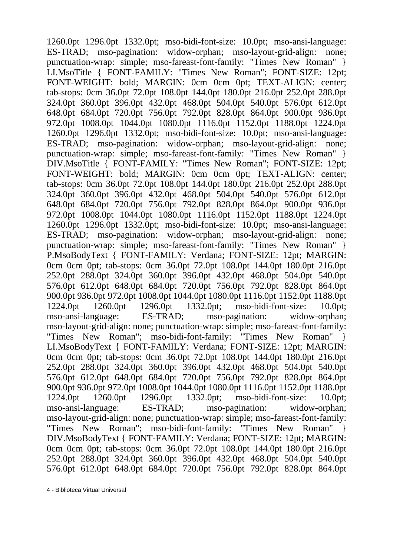1260.0pt 1296.0pt 1332.0pt; mso-bidi-font-size: 10.0pt; mso-ansi-language: ES-TRAD; mso-pagination: widow-orphan; mso-layout-grid-align: none; punctuation-wrap: simple; mso-fareast-font-family: "Times New Roman" } LI.MsoTitle { FONT-FAMILY: "Times New Roman"; FONT-SIZE: 12pt; FONT-WEIGHT: bold; MARGIN: 0cm 0cm 0pt; TEXT-ALIGN: center; tab-stops: 0cm 36.0pt 72.0pt 108.0pt 144.0pt 180.0pt 216.0pt 252.0pt 288.0pt 324.0pt 360.0pt 396.0pt 432.0pt 468.0pt 504.0pt 540.0pt 576.0pt 612.0pt 648.0pt 684.0pt 720.0pt 756.0pt 792.0pt 828.0pt 864.0pt 900.0pt 936.0pt 972.0pt 1008.0pt 1044.0pt 1080.0pt 1116.0pt 1152.0pt 1188.0pt 1224.0pt 1260.0pt 1296.0pt 1332.0pt; mso-bidi-font-size: 10.0pt; mso-ansi-language: ES-TRAD; mso-pagination: widow-orphan; mso-layout-grid-align: none; punctuation-wrap: simple; mso-fareast-font-family: "Times New Roman" } DIV.MsoTitle { FONT-FAMILY: "Times New Roman"; FONT-SIZE: 12pt; FONT-WEIGHT: bold; MARGIN: 0cm 0cm 0pt; TEXT-ALIGN: center; tab-stops: 0cm 36.0pt 72.0pt 108.0pt 144.0pt 180.0pt 216.0pt 252.0pt 288.0pt 324.0pt 360.0pt 396.0pt 432.0pt 468.0pt 504.0pt 540.0pt 576.0pt 612.0pt 648.0pt 684.0pt 720.0pt 756.0pt 792.0pt 828.0pt 864.0pt 900.0pt 936.0pt 972.0pt 1008.0pt 1044.0pt 1080.0pt 1116.0pt 1152.0pt 1188.0pt 1224.0pt 1260.0pt 1296.0pt 1332.0pt; mso-bidi-font-size: 10.0pt; mso-ansi-language: ES-TRAD; mso-pagination: widow-orphan; mso-layout-grid-align: none; punctuation-wrap: simple; mso-fareast-font-family: "Times New Roman" } P.MsoBodyText { FONT-FAMILY: Verdana; FONT-SIZE: 12pt; MARGIN: 0cm 0cm 0pt; tab-stops: 0cm 36.0pt 72.0pt 108.0pt 144.0pt 180.0pt 216.0pt 252.0pt 288.0pt 324.0pt 360.0pt 396.0pt 432.0pt 468.0pt 504.0pt 540.0pt 576.0pt 612.0pt 648.0pt 684.0pt 720.0pt 756.0pt 792.0pt 828.0pt 864.0pt 900.0pt 936.0pt 972.0pt 1008.0pt 1044.0pt 1080.0pt 1116.0pt 1152.0pt 1188.0pt 1224.0pt 1260.0pt 1296.0pt 1332.0pt; mso-bidi-font-size: 10.0pt; mso-ansi-language: ES-TRAD; mso-pagination: widow-orphan; mso-layout-grid-align: none; punctuation-wrap: simple; mso-fareast-font-family: "Times New Roman"; mso-bidi-font-family: "Times New Roman" } LI.MsoBodyText { FONT-FAMILY: Verdana; FONT-SIZE: 12pt; MARGIN: 0cm 0cm 0pt; tab-stops: 0cm 36.0pt 72.0pt 108.0pt 144.0pt 180.0pt 216.0pt 252.0pt 288.0pt 324.0pt 360.0pt 396.0pt 432.0pt 468.0pt 504.0pt 540.0pt 576.0pt 612.0pt 648.0pt 684.0pt 720.0pt 756.0pt 792.0pt 828.0pt 864.0pt 900.0pt 936.0pt 972.0pt 1008.0pt 1044.0pt 1080.0pt 1116.0pt 1152.0pt 1188.0pt 1224.0pt 1260.0pt 1296.0pt 1332.0pt; mso-bidi-font-size: 10.0pt; mso-ansi-language: ES-TRAD; mso-pagination: widow-orphan; mso-layout-grid-align: none; punctuation-wrap: simple; mso-fareast-font-family: "Times New Roman"; mso-bidi-font-family: "Times New Roman" } DIV.MsoBodyText { FONT-FAMILY: Verdana; FONT-SIZE: 12pt; MARGIN: 0cm 0cm 0pt; tab-stops: 0cm 36.0pt 72.0pt 108.0pt 144.0pt 180.0pt 216.0pt 252.0pt 288.0pt 324.0pt 360.0pt 396.0pt 432.0pt 468.0pt 504.0pt 540.0pt 576.0pt 612.0pt 648.0pt 684.0pt 720.0pt 756.0pt 792.0pt 828.0pt 864.0pt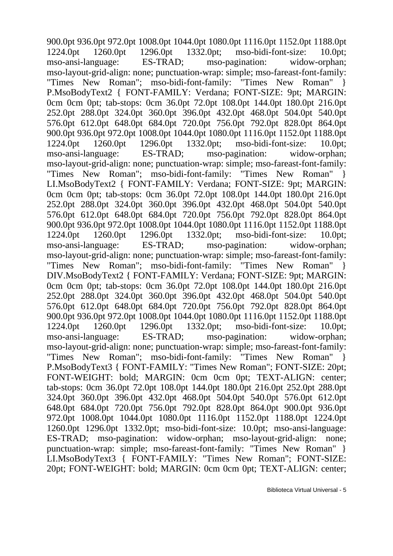900.0pt 936.0pt 972.0pt 1008.0pt 1044.0pt 1080.0pt 1116.0pt 1152.0pt 1188.0pt 1224.0pt 1260.0pt 1296.0pt 1332.0pt; mso-bidi-font-size: 10.0pt; mso-ansi-language: ES-TRAD; mso-pagination: widow-orphan; mso-layout-grid-align: none; punctuation-wrap: simple; mso-fareast-font-family: "Times New Roman"; mso-bidi-font-family: "Times New Roman" } P.MsoBodyText2 { FONT-FAMILY: Verdana; FONT-SIZE: 9pt; MARGIN: 0cm 0cm 0pt; tab-stops: 0cm 36.0pt 72.0pt 108.0pt 144.0pt 180.0pt 216.0pt 252.0pt 288.0pt 324.0pt 360.0pt 396.0pt 432.0pt 468.0pt 504.0pt 540.0pt 576.0pt 612.0pt 648.0pt 684.0pt 720.0pt 756.0pt 792.0pt 828.0pt 864.0pt 900.0pt 936.0pt 972.0pt 1008.0pt 1044.0pt 1080.0pt 1116.0pt 1152.0pt 1188.0pt 1224.0pt 1260.0pt 1296.0pt 1332.0pt; mso-bidi-font-size: 10.0pt; mso-ansi-language: ES-TRAD; mso-pagination: widow-orphan; mso-layout-grid-align: none; punctuation-wrap: simple; mso-fareast-font-family: "Times New Roman"; mso-bidi-font-family: "Times New Roman" } LI.MsoBodyText2 { FONT-FAMILY: Verdana; FONT-SIZE: 9pt; MARGIN: 0cm 0cm 0pt; tab-stops: 0cm 36.0pt 72.0pt 108.0pt 144.0pt 180.0pt 216.0pt 252.0pt 288.0pt 324.0pt 360.0pt 396.0pt 432.0pt 468.0pt 504.0pt 540.0pt 576.0pt 612.0pt 648.0pt 684.0pt 720.0pt 756.0pt 792.0pt 828.0pt 864.0pt 900.0pt 936.0pt 972.0pt 1008.0pt 1044.0pt 1080.0pt 1116.0pt 1152.0pt 1188.0pt 1224.0pt 1260.0pt 1296.0pt 1332.0pt; mso-bidi-font-size: 10.0pt; mso-ansi-language: ES-TRAD; mso-pagination: widow-orphan; mso-layout-grid-align: none; punctuation-wrap: simple; mso-fareast-font-family: "Times New Roman"; mso-bidi-font-family: "Times New Roman" } DIV.MsoBodyText2 { FONT-FAMILY: Verdana; FONT-SIZE: 9pt; MARGIN: 0cm 0cm 0pt; tab-stops: 0cm 36.0pt 72.0pt 108.0pt 144.0pt 180.0pt 216.0pt 252.0pt 288.0pt 324.0pt 360.0pt 396.0pt 432.0pt 468.0pt 504.0pt 540.0pt 576.0pt 612.0pt 648.0pt 684.0pt 720.0pt 756.0pt 792.0pt 828.0pt 864.0pt 900.0pt 936.0pt 972.0pt 1008.0pt 1044.0pt 1080.0pt 1116.0pt 1152.0pt 1188.0pt 1224.0pt 1260.0pt 1296.0pt 1332.0pt; mso-bidi-font-size: 10.0pt; mso-ansi-language: ES-TRAD; mso-pagination: widow-orphan; mso-layout-grid-align: none; punctuation-wrap: simple; mso-fareast-font-family: "Times New Roman"; mso-bidi-font-family: "Times New Roman" } P.MsoBodyText3 { FONT-FAMILY: "Times New Roman"; FONT-SIZE: 20pt; FONT-WEIGHT: bold; MARGIN: 0cm 0cm 0pt; TEXT-ALIGN: center; tab-stops: 0cm 36.0pt 72.0pt 108.0pt 144.0pt 180.0pt 216.0pt 252.0pt 288.0pt 324.0pt 360.0pt 396.0pt 432.0pt 468.0pt 504.0pt 540.0pt 576.0pt 612.0pt 648.0pt 684.0pt 720.0pt 756.0pt 792.0pt 828.0pt 864.0pt 900.0pt 936.0pt 972.0pt 1008.0pt 1044.0pt 1080.0pt 1116.0pt 1152.0pt 1188.0pt 1224.0pt 1260.0pt 1296.0pt 1332.0pt; mso-bidi-font-size: 10.0pt; mso-ansi-language: ES-TRAD; mso-pagination: widow-orphan; mso-layout-grid-align: none; punctuation-wrap: simple; mso-fareast-font-family: "Times New Roman" } LI.MsoBodyText3 { FONT-FAMILY: "Times New Roman"; FONT-SIZE: 20pt; FONT-WEIGHT: bold; MARGIN: 0cm 0cm 0pt; TEXT-ALIGN: center;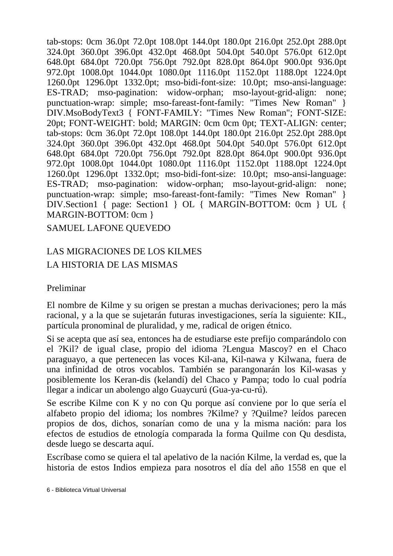tab-stops: 0cm 36.0pt 72.0pt 108.0pt 144.0pt 180.0pt 216.0pt 252.0pt 288.0pt 324.0pt 360.0pt 396.0pt 432.0pt 468.0pt 504.0pt 540.0pt 576.0pt 612.0pt 648.0pt 684.0pt 720.0pt 756.0pt 792.0pt 828.0pt 864.0pt 900.0pt 936.0pt 972.0pt 1008.0pt 1044.0pt 1080.0pt 1116.0pt 1152.0pt 1188.0pt 1224.0pt 1260.0pt 1296.0pt 1332.0pt; mso-bidi-font-size: 10.0pt; mso-ansi-language: ES-TRAD; mso-pagination: widow-orphan; mso-layout-grid-align: none; punctuation-wrap: simple; mso-fareast-font-family: "Times New Roman" } DIV.MsoBodyText3 { FONT-FAMILY: "Times New Roman"; FONT-SIZE: 20pt; FONT-WEIGHT: bold; MARGIN: 0cm 0cm 0pt; TEXT-ALIGN: center; tab-stops: 0cm 36.0pt 72.0pt 108.0pt 144.0pt 180.0pt 216.0pt 252.0pt 288.0pt 324.0pt 360.0pt 396.0pt 432.0pt 468.0pt 504.0pt 540.0pt 576.0pt 612.0pt 648.0pt 684.0pt 720.0pt 756.0pt 792.0pt 828.0pt 864.0pt 900.0pt 936.0pt 972.0pt 1008.0pt 1044.0pt 1080.0pt 1116.0pt 1152.0pt 1188.0pt 1224.0pt 1260.0pt 1296.0pt 1332.0pt; mso-bidi-font-size: 10.0pt; mso-ansi-language: ES-TRAD; mso-pagination: widow-orphan; mso-layout-grid-align: none; punctuation-wrap: simple; mso-fareast-font-family: "Times New Roman" } DIV.Section1 { page: Section1 } OL { MARGIN-BOTTOM: 0cm } UL { MARGIN-BOTTOM: 0cm }

SAMUEL LAFONE QUEVEDO

### LAS MIGRACIONES DE LOS KILMES LA HISTORIA DE LAS MISMAS

#### Preliminar

El nombre de Kilme y su origen se prestan a muchas derivaciones; pero la más racional, y a la que se sujetarán futuras investigaciones, sería la siguiente: KIL, partícula pronominal de pluralidad, y me, radical de origen étnico.

Si se acepta que así sea, entonces ha de estudiarse este prefijo comparándolo con el ?Kil? de igual clase, propio del idioma ?Lengua Mascoy? en el Chaco paraguayo, a que pertenecen las voces Kil-ana, Kil-nawa y Kilwana, fuera de una infinidad de otros vocablos. También se parangonarán los Kil-wasas y posiblemente los Keran-dis (kelandí) del Chaco y Pampa; todo lo cual podría llegar a indicar un abolengo algo Guaycurú (Gua-ya-cu-rú).

Se escribe Kilme con K y no con Qu porque así conviene por lo que sería el alfabeto propio del idioma; los nombres ?Kilme? y ?Quilme? leídos parecen propios de dos, dichos, sonarían como de una y la misma nación: para los efectos de estudios de etnología comparada la forma Quilme con Qu desdista, desde luego se descarta aquí.

Escríbase como se quiera el tal apelativo de la nación Kilme, la verdad es, que la historia de estos Indios empieza para nosotros el día del año 1558 en que el

<sup>6 -</sup> Biblioteca Virtual Universal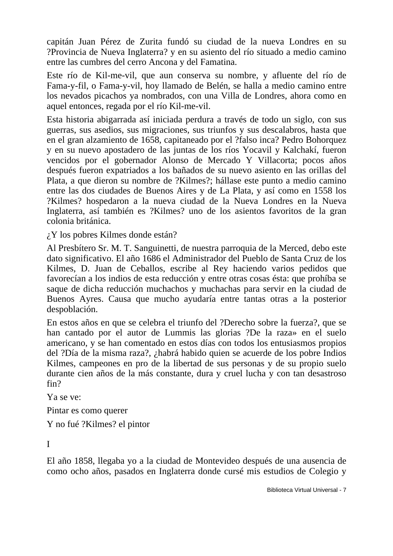capitán Juan Pérez de Zurita fundó su ciudad de la nueva Londres en su ?Provincia de Nueva Inglaterra? y en su asiento del río situado a medio camino entre las cumbres del cerro Ancona y del Famatina.

Este río de Kil-me-vil, que aun conserva su nombre, y afluente del río de Fama-y-fil, o Fama-y-vil, hoy llamado de Belén, se halla a medio camino entre los nevados picachos ya nombrados, con una Villa de Londres, ahora como en aquel entonces, regada por el río Kil-me-vil.

Esta historia abigarrada así iniciada perdura a través de todo un siglo, con sus guerras, sus asedios, sus migraciones, sus triunfos y sus descalabros, hasta que en el gran alzamiento de 1658, capitaneado por el ?falso inca? Pedro Bohorquez y en su nuevo apostadero de las juntas de los ríos Yocavil y Kalchakí, fueron vencidos por el gobernador Alonso de Mercado Y Villacorta; pocos años después fueron expatriados a los bañados de su nuevo asiento en las orillas del Plata, a que dieron su nombre de ?Kilmes?; hállase este punto a medio camino entre las dos ciudades de Buenos Aires y de La Plata, y así como en 1558 los ?Kilmes? hospedaron a la nueva ciudad de la Nueva Londres en la Nueva Inglaterra, así también es ?Kilmes? uno de los asientos favoritos de la gran colonia británica.

¿Y los pobres Kilmes donde están?

Al Presbítero Sr. M. T. Sanguinetti, de nuestra parroquia de la Merced, debo este dato significativo. El año 1686 el Administrador del Pueblo de Santa Cruz de los Kilmes, D. Juan de Ceballos, escribe al Rey haciendo varios pedidos que favorecían a los indios de esta reducción y entre otras cosas ésta: que prohíba se saque de dicha reducción muchachos y muchachas para servir en la ciudad de Buenos Ayres. Causa que mucho ayudaría entre tantas otras a la posterior despoblación.

En estos años en que se celebra el triunfo del ?Derecho sobre la fuerza?, que se han cantado por el autor de Lummis las glorias ?De la raza» en el suelo americano, y se han comentado en estos días con todos los entusiasmos propios del ?Día de la misma raza?, ¿habrá habido quien se acuerde de los pobre Indios Kilmes, campeones en pro de la libertad de sus personas y de su propio suelo durante cien años de la más constante, dura y cruel lucha y con tan desastroso fin?

Ya se ve:

Pintar es como querer

Y no fué ?Kilmes? el pintor

I

El año 1858, llegaba yo a la ciudad de Montevideo después de una ausencia de como ocho años, pasados en Inglaterra donde cursé mis estudios de Colegio y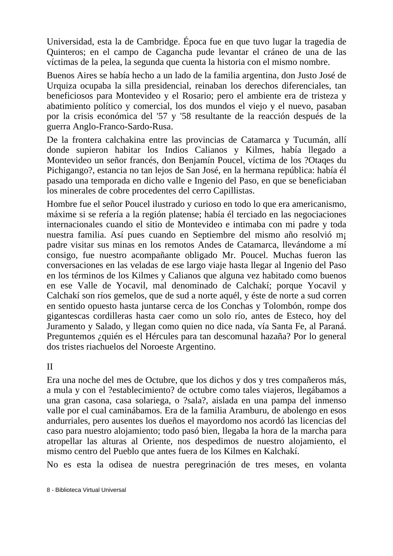Universidad, esta la de Cambridge. Época fue en que tuvo lugar la tragedia de Quinteros; en el campo de Cagancha pude levantar el cráneo de una de las víctimas de la pelea, la segunda que cuenta la historia con el mismo nombre.

Buenos Aires se había hecho a un lado de la familia argentina, don Justo José de Urquiza ocupaba la silla presidencial, reinaban los derechos diferenciales, tan beneficiosos para Montevideo y el Rosario; pero el ambiente era de tristeza y abatimiento político y comercial, los dos mundos el viejo y el nuevo, pasaban por la crisis económica del '57 y '58 resultante de la reacción después de la guerra Anglo-Franco-Sardo-Rusa.

De la frontera calchakina entre las provincias de Catamarca y Tucumán, allí donde supieron habitar los Indios Calianos y Kilmes, había llegado a Montevideo un señor francés, don Benjamín Poucel, víctima de los ?Otaqes du Pichigango?, estancia no tan lejos de San José, en la hermana república: había él pasado una temporada en dicho valle e Ingenio del Paso, en que se beneficiaban los minerales de cobre procedentes del cerro Capillistas.

Hombre fue el señor Poucel ilustrado y curioso en todo lo que era americanismo, máxime si se refería a la región platense; había él terciado en las negociaciones internacionales cuando el sitio de Montevideo e intimaba con mi padre y toda nuestra familia. Así pues cuando en Septiembre del mismo año resolvió m¡ padre visitar sus minas en los remotos Andes de Catamarca, llevándome a mí consigo, fue nuestro acompañante obligado Mr. Poucel. Muchas fueron las conversaciones en las veladas de ese largo viaje hasta llegar al Ingenio del Paso en los términos de los Kilmes y Calianos que alguna vez habitado como buenos en ese Valle de Yocavil, mal denominado de Calchakí; porque Yocavil y Calchakí son ríos gemelos, que de sud a norte aquél, y éste de norte a sud corren en sentido opuesto hasta juntarse cerca de los Conchas y Tolombón, rompe dos gigantescas cordilleras hasta caer como un solo río, antes de Esteco, hoy del Juramento y Salado, y llegan como quien no dice nada, vía Santa Fe, al Paraná. Preguntemos ¿quién es el Hércules para tan descomunal hazaña? Por lo general dos tristes riachuelos del Noroeste Argentino.

II

Era una noche del mes de Octubre, que los dichos y dos y tres compañeros más, a mula y con el ?establecimiento? de octubre como tales viajeros, llegábamos a una gran casona, casa solariega, o ?sala?, aislada en una pampa del inmenso valle por el cual caminábamos. Era de la familia Aramburu, de abolengo en esos andurriales, pero ausentes los dueños el mayordomo nos acordó las licencias del caso para nuestro alojamiento; todo pasó bien, llegaba la hora de la marcha para atropellar las alturas al Oriente, nos despedimos de nuestro alojamiento, el mismo centro del Pueblo que antes fuera de los Kilmes en Kalchakí.

No es esta la odisea de nuestra peregrinación de tres meses, en volanta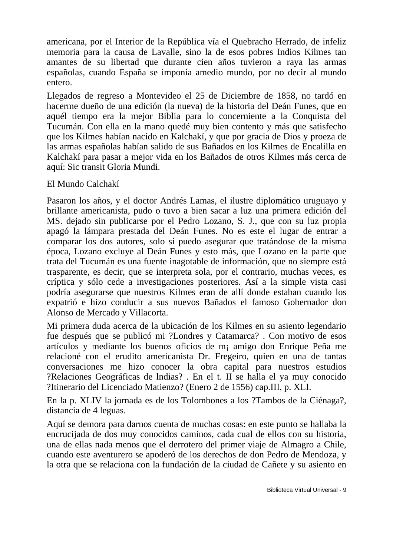americana, por el Interior de la República vía el Quebracho Herrado, de infeliz memoria para la causa de Lavalle, sino la de esos pobres Indios Kilmes tan amantes de su libertad que durante cien años tuvieron a raya las armas españolas, cuando España se imponía amedio mundo, por no decir al mundo entero.

Llegados de regreso a Montevideo el 25 de Diciembre de 1858, no tardó en hacerme dueño de una edición (la nueva) de la historia del Deán Funes, que en aquél tiempo era la mejor Biblia para lo concerniente a la Conquista del Tucumán. Con ella en la mano quedé muy bien contento y más que satisfecho que los Kilmes habían nacido en Kalchakí, y que por gracia de Dios y proeza de las armas españolas habían salido de sus Bañados en los Kilmes de Encalilla en Kalchakí para pasar a mejor vida en los Bañados de otros Kilmes más cerca de aquí: Sic transit Gloria Mundi.

#### El Mundo Calchakí

Pasaron los años, y el doctor Andrés Lamas, el ilustre diplomático uruguayo y brillante americanista, pudo o tuvo a bien sacar a luz una primera edición del MS. dejado sin publicarse por el Pedro Lozano, S. J., que con su luz propia apagó la lámpara prestada del Deán Funes. No es este el lugar de entrar a comparar los dos autores, solo sí puedo asegurar que tratándose de la misma época, Lozano excluye al Deán Funes y esto más, que Lozano en la parte que trata del Tucumán es una fuente inagotable de información, que no siempre está trasparente, es decir, que se interpreta sola, por el contrario, muchas veces, es críptica y sólo cede a investigaciones posteriores. Así a la simple vista casi podría asegurarse que nuestros Kilmes eran de allí donde estaban cuando los expatrió e hizo conducir a sus nuevos Bañados el famoso Gobernador don Alonso de Mercado y Villacorta.

Mi primera duda acerca de la ubicación de los Kilmes en su asiento legendario fue después que se publicó mi ?Londres y Catamarca? . Con motivo de esos artículos y mediante los buenos oficios de m¡ amigo don Enrique Peña me relacioné con el erudito americanista Dr. Fregeiro, quien en una de tantas conversaciones me hizo conocer la obra capital para nuestros estudios ?Relaciones Geográficas de lndias? . En el t. II se halla el ya muy conocido ?Itinerario del Licenciado Matienzo? (Enero 2 de 1556) cap.III, p. XLI.

En la p. XLIV la jornada es de los Tolombones a los ?Tambos de la Ciénaga?, distancia de 4 leguas.

Aquí se demora para darnos cuenta de muchas cosas: en este punto se hallaba la encrucijada de dos muy conocidos caminos, cada cual de ellos con su historia, una de ellas nada menos que el derrotero del primer viaje de Almagro a Chile, cuando este aventurero se apoderó de los derechos de don Pedro de Mendoza, y la otra que se relaciona con la fundación de la ciudad de Cañete y su asiento en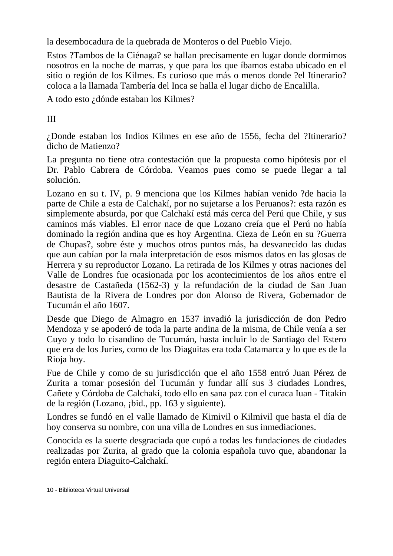la desembocadura de la quebrada de Monteros o del Pueblo Viejo.

Estos ?Tambos de la Ciénaga? se hallan precisamente en lugar donde dormimos nosotros en la noche de marras, y que para los que íbamos estaba ubicado en el sitio o región de los Kilmes. Es curioso que más o menos donde ?el Itinerario? coloca a la llamada Tambería del Inca se halla el lugar dicho de Encalilla.

A todo esto ¿dónde estaban los Kilmes?

III

¿Donde estaban los Indios Kilmes en ese año de 1556, fecha del ?Itinerario? dicho de Matienzo?

La pregunta no tiene otra contestación que la propuesta como hipótesis por el Dr. Pablo Cabrera de Córdoba. Veamos pues como se puede llegar a tal solución.

Lozano en su t. IV, p. 9 menciona que los Kilmes habían venido ?de hacia la parte de Chile a esta de Calchakí, por no sujetarse a los Peruanos?: esta razón es simplemente absurda, por que Calchakí está más cerca del Perú que Chile, y sus caminos más viables. El error nace de que Lozano creía que el Perú no había dominado la región andina que es hoy Argentina. Cieza de León en su ?Guerra de Chupas?, sobre éste y muchos otros puntos más, ha desvanecido las dudas que aun cabían por la mala interpretación de esos mismos datos en las glosas de Herrera y su reproductor Lozano. La retirada de los Kilmes y otras naciones del Valle de Londres fue ocasionada por los acontecimientos de los años entre el desastre de Castañeda (1562-3) y la refundación de la ciudad de San Juan Bautista de la Rivera de Londres por don Alonso de Rivera, Gobernador de Tucumán el año 1607.

Desde que Diego de Almagro en 1537 invadió la jurisdicción de don Pedro Mendoza y se apoderó de toda la parte andina de la misma, de Chile venía a ser Cuyo y todo lo cisandino de Tucumán, hasta incluir lo de Santiago del Estero que era de los Juries, como de los Diaguitas era toda Catamarca y lo que es de la Rioja hoy.

Fue de Chile y como de su jurisdicción que el año 1558 entró Juan Pérez de Zurita a tomar posesión del Tucumán y fundar allí sus 3 ciudades Londres, Cañete y Córdoba de Calchakí, todo ello en sana paz con el curaca Iuan - Titakin de la región (Lozano, ¡bid., pp. 163 y siguiente).

Londres se fundó en el valle llamado de Kimivil o Kilmivil que hasta el día de hoy conserva su nombre, con una villa de Londres en sus inmediaciones.

Conocida es la suerte desgraciada que cupó a todas les fundaciones de ciudades realizadas por Zurita, al grado que la colonia española tuvo que, abandonar la región entera Diaguito-Calchakí.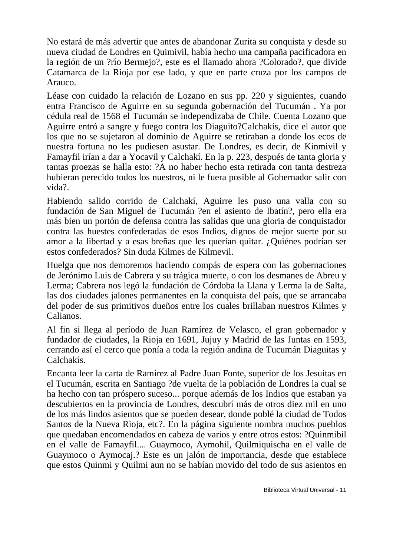No estará de más advertir que antes de abandonar Zurita su conquista y desde su nueva ciudad de Londres en Quimivil, había hecho una campaña pacificadora en la región de un ?río Bermejo?, este es el llamado ahora ?Colorado?, que divide Catamarca de la Rioja por ese lado, y que en parte cruza por los campos de Arauco.

Léase con cuidado la relación de Lozano en sus pp. 220 y siguientes, cuando entra Francisco de Aguirre en su segunda gobernación del Tucumán . Ya por cédula real de 1568 el Tucumán se independizaba de Chile. Cuenta Lozano que Aguirre entró a sangre y fuego contra los Diaguito?Calchakís, dice el autor que los que no se sujetaron al dominio de Aguirre se retiraban a donde los ecos de nuestra fortuna no les pudiesen asustar. De Londres, es decir, de Kinmivil y Famayfil irían a dar a Yocavil y Calchakí. En la p. 223, después de tanta gloria y tantas proezas se halla esto: ?A no haber hecho esta retirada con tanta destreza hubieran perecido todos los nuestros, ni le fuera posible al Gobernador salir con vida?.

Habiendo salido corrido de Calchakí, Aguirre les puso una valla con su fundación de San Miguel de Tucumán ?en el asiento de Ibatín?, pero ella era más bien un portón de defensa contra las salidas que una gloria de conquistador contra las huestes confederadas de esos Indios, dignos de mejor suerte por su amor a la libertad y a esas breñas que les querían quitar. ¿Quiénes podrían ser estos confederados? Sin duda Kilmes de Kilmevil.

Huelga que nos demoremos haciendo compás de espera con las gobernaciones de Jerónimo Luis de Cabrera y su trágica muerte, o con los desmanes de Abreu y Lerma; Cabrera nos legó la fundación de Córdoba la Llana y Lerma la de Salta, las dos ciudades jalones permanentes en la conquista del país, que se arrancaba del poder de sus primitivos dueños entre los cuales brillaban nuestros Kilmes y Calianos.

Al fin si llega al período de Juan Ramírez de Velasco, el gran gobernador y fundador de ciudades, la Rioja en 1691, Jujuy y Madrid de las Juntas en 1593, cerrando así el cerco que ponía a toda la región andina de Tucumán Diaguitas y Calchakís.

Encanta leer la carta de Ramírez al Padre Juan Fonte, superior de los Jesuitas en el Tucumán, escrita en Santiago ?de vuelta de la población de Londres la cual se ha hecho con tan próspero suceso... porque además de los Indios que estaban ya descubiertos en la provincia de Londres, descubrí más de otros diez mil en uno de los más lindos asientos que se pueden desear, donde poblé la ciudad de Todos Santos de la Nueva Rioja, etc?. En la página siguiente nombra muchos pueblos que quedaban encomendados en cabeza de varios y entre otros estos: ?Quinmibil en el valle de Famayfil.... Guaymoco, Aymohil, Quilmiquischa en el valle de Guaymoco o Aymocaj.? Este es un jalón de importancia, desde que establece que estos Quinmi y Quilmi aun no se habían movido del todo de sus asientos en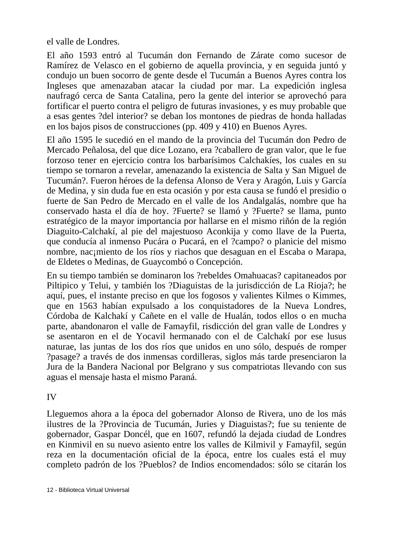el valle de Londres.

El año 1593 entró al Tucumán don Fernando de Zárate como sucesor de Ramírez de Velasco en el gobierno de aquella provincia, y en seguida juntó y condujo un buen socorro de gente desde el Tucumán a Buenos Ayres contra los Ingleses que amenazaban atacar la ciudad por mar. La expedición inglesa naufragó cerca de Santa Catalina, pero la gente del interior se aprovechó para fortificar el puerto contra el peligro de futuras invasiones, y es muy probable que a esas gentes ?del interior? se deban los montones de piedras de honda halladas en los bajos pisos de construcciones (pp. 409 y 410) en Buenos Ayres.

El año 1595 le sucedió en el mando de la provincia del Tucumán don Pedro de Mercado Peñalosa, del que dice Lozano, era ?caballero de gran valor, que le fue forzoso tener en ejercicio contra los barbarísimos Calchakíes, los cuales en su tiempo se tornaron a revelar, amenazando la existencia de Salta y San Miguel de Tucumán?. Fueron héroes de la defensa Alonso de Vera y Aragón, Luis y García de Medina, y sin duda fue en esta ocasión y por esta causa se fundó el presidio o fuerte de San Pedro de Mercado en el valle de los Andalgalás, nombre que ha conservado hasta el día de hoy. ?Fuerte? se llamó y ?Fuerte? se llama, punto estratégico de la mayor importancia por hallarse en el mismo riñón de la región Diaguito-Calchakí, al pie del majestuoso Aconkija y como llave de la Puerta, que conducía al inmenso Pucára o Pucará, en el ?campo? o planicie del mismo nombre, nac¡miento de los ríos y riachos que desaguan en el Escaba o Marapa, de Eldetes o Medinas, de Guaycombó o Concepción.

En su tiempo también se dominaron los ?rebeldes Omahuacas? capitaneados por Piltipico y Telui, y también los ?Diaguistas de la jurisdicción de La Rioja?; he aquí, pues, el instante preciso en que los fogosos y valientes Kilmes o Kimmes, que en 1563 habían expulsado a los conquistadores de la Nueva Londres, Córdoba de Kalchakí y Cañete en el valle de Hualán, todos ellos o en mucha parte, abandonaron el valle de Famayfil, risdicción del gran valle de Londres y se asentaron en el de Yocavil hermanado con el de Calchakí por ese lusus naturae, las juntas de los dos ríos que unidos en uno sólo, después de romper ?pasage? a través de dos inmensas cordilleras, siglos más tarde presenciaron la Jura de la Bandera Nacional por Belgrano y sus compatriotas llevando con sus aguas el mensaje hasta el mismo Paraná.

IV

Lleguemos ahora a la época del gobernador Alonso de Rivera, uno de los más ilustres de la ?Provincia de Tucumán, Juries y Diaguistas?; fue su teniente de gobernador, Gaspar Doncél, que en 1607, refundó la dejada ciudad de Londres en Kinmivil en su nuevo asiento entre los valles de Kilmivil y Famayfil, según reza en la documentación oficial de la época, entre los cuales está el muy completo padrón de los ?Pueblos? de Indios encomendados: sólo se citarán los

12 - Biblioteca Virtual Universal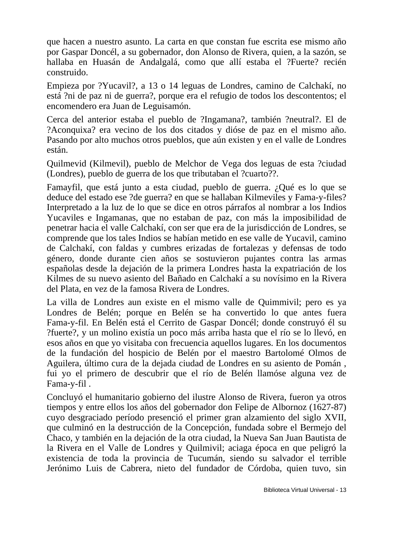que hacen a nuestro asunto. La carta en que constan fue escrita ese mismo año por Gaspar Doncél, a su gobernador, don Alonso de Rivera, quien, a la sazón, se hallaba en Huasán de Andalgalá, como que allí estaba el ?Fuerte? recién construido.

Empieza por ?Yucavil?, a 13 o 14 leguas de Londres, camino de Calchakí, no está ?ni de paz ni de guerra?, porque era el refugio de todos los descontentos; el encomendero era Juan de Leguisamón.

Cerca del anterior estaba el pueblo de ?Ingamana?, también ?neutral?. El de ?Aconquixa? era vecino de los dos citados y dióse de paz en el mismo año. Pasando por alto muchos otros pueblos, que aún existen y en el valle de Londres están.

Quilmevid (Kilmevil), pueblo de Melchor de Vega dos leguas de esta ?ciudad (Londres), pueblo de guerra de los que tributaban el ?cuarto??.

Famayfil, que está junto a esta ciudad, pueblo de guerra. ¿Qué es lo que se deduce del estado ese ?de guerra? en que se hallaban Kilmeviles y Fama-y-files? Interpretado a la luz de lo que se dice en otros párrafos al nombrar a los Indios Yucaviles e Ingamanas, que no estaban de paz, con más la imposibilidad de penetrar hacia el valle Calchakí, con ser que era de la jurisdicción de Londres, se comprende que los tales Indios se habían metido en ese valle de Yucavil, camino de Calchakí, con faldas y cumbres erizadas de fortalezas y defensas de todo género, donde durante cien años se sostuvieron pujantes contra las armas españolas desde la dejación de la primera Londres hasta la expatriación de los Kilmes de su nuevo asiento del Bañado en Calchakí a su novísimo en la Rivera del Plata, en vez de la famosa Rivera de Londres.

La villa de Londres aun existe en el mismo valle de Quimmivil; pero es ya Londres de Belén; porque en Belén se ha convertido lo que antes fuera Fama-y-fil. En Belén está el Cerrito de Gaspar Doncél; donde construyó él su ?fuerte?, y un molino existía un poco más arriba hasta que el río se lo llevó, en esos años en que yo visitaba con frecuencia aquellos lugares. En los documentos de la fundación del hospicio de Belén por el maestro Bartolomé Olmos de Aguilera, último cura de la dejada ciudad de Londres en su asiento de Pomán , fui yo el primero de descubrir que el río de Belén llamóse alguna vez de Fama-y-fil .

Concluyó el humanitario gobierno del ilustre Alonso de Rivera, fueron ya otros tiempos y entre ellos los años del gobernador don Felipe de Albornoz (1627-87) cuyo desgraciado período presenció el primer gran alzamiento del siglo XVII, que culminó en la destrucción de la Concepción, fundada sobre el Bermejo del Chaco, y también en la dejación de la otra ciudad, la Nueva San Juan Bautista de la Rivera en el Valle de Londres y Quilmivil; aciaga época en que peligró la existencia de toda la provincia de Tucumán, siendo su salvador el terrible Jerónimo Luis de Cabrera, nieto del fundador de Córdoba, quien tuvo, sin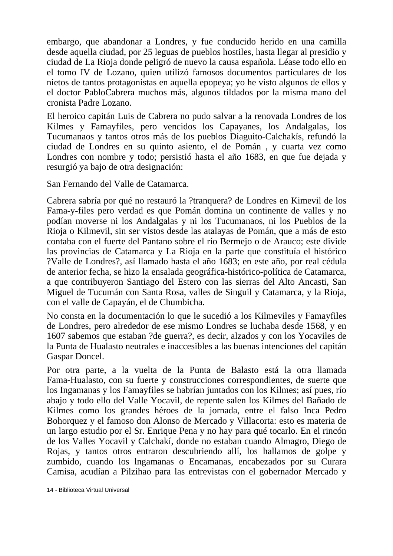embargo, que abandonar a Londres, y fue conducido herido en una camilla desde aquella ciudad, por 25 leguas de pueblos hostiles, hasta llegar al presidio y ciudad de La Rioja donde peligró de nuevo la causa española. Léase todo ello en el tomo IV de Lozano, quien utilizó famosos documentos particulares de los nietos de tantos protagonistas en aquella epopeya; yo he visto algunos de ellos y el doctor PabloCabrera muchos más, algunos tildados por la misma mano del cronista Padre Lozano.

El heroico capitán Luis de Cabrera no pudo salvar a la renovada Londres de los Kilmes y Famayfiles, pero vencidos los Capayanes, los Andalgalas, los Tucumanaos y tantos otros más de los pueblos Diaguito-Calchakís, refundó la ciudad de Londres en su quinto asiento, el de Pomán , y cuarta vez como Londres con nombre y todo; persistió hasta el año 1683, en que fue dejada y resurgió ya bajo de otra designación:

San Fernando del Valle de Catamarca.

Cabrera sabría por qué no restauró la ?tranquera? de Londres en Kimevil de los Fama-y-files pero verdad es que Pomán domina un continente de valles y no podían moverse ni los Andalgalas y ni los Tucumanaos, ni los Pueblos de la Rioja o Kilmevil, sin ser vistos desde las atalayas de Pomán, que a más de esto contaba con el fuerte del Pantano sobre el río Bermejo o de Arauco; este divide las provincias de Catamarca y La Rioja en la parte que constituía el histórico ?Valle de Londres?, así llamado hasta el año 1683; en este año, por real cédula de anterior fecha, se hizo la ensalada geográfica-histórico-política de Catamarca, a que contribuyeron Santiago del Estero con las sierras del Alto Ancasti, San Miguel de Tucumán con Santa Rosa, valles de Singuil y Catamarca, y la Rioja, con el valle de Capayán, el de Chumbicha.

No consta en la documentación lo que le sucedió a los Kilmeviles y Famayfiles de Londres, pero alrededor de ese mismo Londres se luchaba desde 1568, y en 1607 sabemos que estaban ?de guerra?, es decir, alzados y con los Yocaviles de la Punta de Hualasto neutrales e inaccesibles a las buenas intenciones del capitán Gaspar Doncel.

Por otra parte, a la vuelta de la Punta de Balasto está la otra llamada Fama-Hualasto, con su fuerte y construcciones correspondientes, de suerte que los Ingamanas y los Famayfiles se habrían juntados con los Kilmes; así pues, río abajo y todo ello del Valle Yocavil, de repente salen los Kilmes del Bañado de Kilmes como los grandes héroes de la jornada, entre el falso Inca Pedro Bohorquez y el famoso don Alonso de Mercado y Villacorta: esto es materia de un largo estudio por el Sr. Enrique Pena y no hay para qué tocarlo. En el rincón de los Valles Yocavil y Calchakí, donde no estaban cuando Almagro, Diego de Rojas, y tantos otros entraron descubriendo allí, los hallamos de golpe y zumbido, cuando los lngamanas o Encamanas, encabezados por su Curara Camisa, acudían a Pilzihao para las entrevistas con el gobernador Mercado y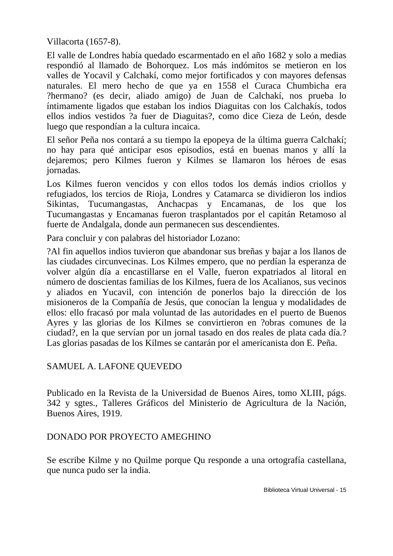Villacorta (1657-8).

El valle de Londres había quedado escarmentado en el año 1682 y solo a medias respondió al llamado de Bohorquez. Los más indómitos se metieron en los valles de Yocavil y Calchakí, como mejor fortificados y con mayores defensas naturales. El mero hecho de que ya en 1558 el Curaca Chumbicha era ?hermano? (es decir, aliado amigo) de Juan de Calchakí, nos prueba lo íntimamente ligados que estaban los indios Diaguitas con los Calchakís, todos ellos indios vestidos ?a fuer de Diaguitas?, como dice Cieza de León, desde luego que respondían a la cultura incaica.

El señor Peña nos contará a su tiempo la epopeya de la última guerra Calchakí; no hay para qué anticipar esos episodios, está en buenas manos y allí la dejaremos; pero Kilmes fueron y Kilmes se llamaron los héroes de esas jornadas.

Los Kilmes fueron vencidos y con ellos todos los demás indios criollos y refugiados, los tercios de Rioja, Londres y Catamarca se dividieron los indios Sikintas, Tucumangastas, Anchacpas y Encamanas, de los que los Tucumangastas y Encamanas fueron trasplantados por el capitán Retamoso al fuerte de Andalgala, donde aun permanecen sus descendientes.

Para concluir y con palabras del historiador Lozano:

?Al fin aquellos indios tuvieron que abandonar sus breñas y bajar a los llanos de las ciudades circunvecinas. Los Kilmes empero, que no perdían la esperanza de volver algún día a encastillarse en el Valle, fueron expatriados al litoral en número de doscientas familias de los Kilmes, fuera de los Acalianos, sus vecinos y aliados en Yucavil, con intención de ponerlos bajo la dirección de los misioneros de la Compañía de Jesús, que conocían la lengua y modalidades de ellos: ello fracasó por mala voluntad de las autoridades en el puerto de Buenos Ayres y las glorias de los Kilmes se convirtieron en ?obras comunes de la ciudad?, en la que servían por un jornal tasado en dos reales de plata cada día.? Las glorias pasadas de los Kilmes se cantarán por el americanista don E. Peña.

#### SAMUEL A. LAFONE QUEVEDO

Publicado en la Revista de la Universidad de Buenos Aires, tomo XLIII, págs. 342 y sgtes., Talleres Gráficos del Ministerio de Agricultura de la Nación, Buenos Aires, 1919.

#### DONADO POR PROYECTO AMEGHINO

Se escribe Kilme y no Quilme porque Qu responde a una ortografía castellana, que nunca pudo ser la india.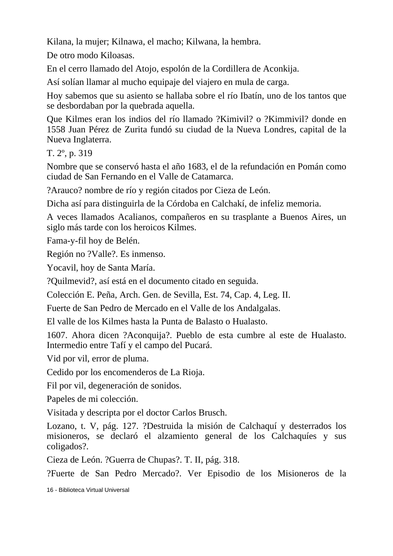Kilana, la mujer; Kilnawa, el macho; Kilwana, la hembra.

De otro modo Kiloasas.

En el cerro llamado del Atojo, espolón de la Cordillera de Aconkija.

Así solían llamar al mucho equipaje del viajero en mula de carga.

Hoy sabemos que su asiento se hallaba sobre el río Ibatín, uno de los tantos que se desbordaban por la quebrada aquella.

Que Kilmes eran los indios del río llamado ?Kimivil? o ?Kimmivil? donde en 1558 Juan Pérez de Zurita fundó su ciudad de la Nueva Londres, capital de la Nueva Inglaterra.

T. 2º, p. 319

Nombre que se conservó hasta el año 1683, el de la refundación en Pomán como ciudad de San Fernando en el Valle de Catamarca.

?Arauco? nombre de río y región citados por Cieza de León.

Dicha así para distinguirla de la Córdoba en Calchakí, de infeliz memoria.

A veces llamados Acalianos, compañeros en su trasplante a Buenos Aires, un siglo más tarde con los heroicos Kilmes.

Fama-y-fil hoy de Belén.

Región no ?Valle?. Es inmenso.

Yocavil, hoy de Santa María.

?Quilmevid?, así está en el documento citado en seguida.

Colección E. Peña, Arch. Gen. de Sevilla, Est. 74, Cap. 4, Leg. II.

Fuerte de San Pedro de Mercado en el Valle de los Andalgalas.

El valle de los Kilmes hasta la Punta de Balasto o Hualasto.

1607. Ahora dicen ?Aconquija?. Pueblo de esta cumbre al este de Hualasto. Intermedio entre Tafí y el campo del Pucará.

Vid por vil, error de pluma.

Cedido por los encomenderos de La Rioja.

Fil por vil, degeneración de sonidos.

Papeles de mi colección.

Visitada y descripta por el doctor Carlos Brusch.

Lozano, t. V, pág. 127. ?Destruida la misión de Calchaquí y desterrados los misioneros, se declaró el alzamiento general de los Calchaquíes y sus coligados?.

Cieza de León. ?Guerra de Chupas?. T. II, pág. 318.

?Fuerte de San Pedro Mercado?. Ver Episodio de los Misioneros de la

16 - Biblioteca Virtual Universal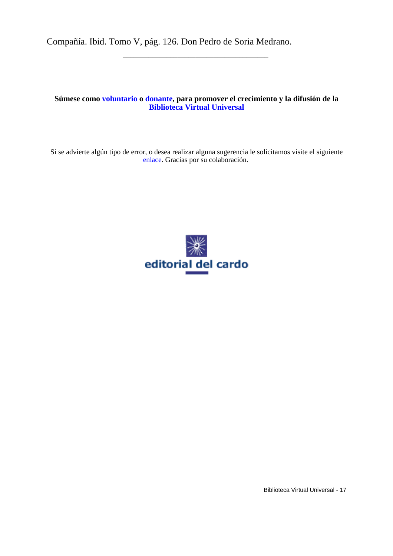Compañía. Ibid. Tomo V, pág. 126. Don Pedro de Soria Medrano.

#### **Súmese como [voluntario](http://www.biblioteca.org.ar/voluntariosform.htm) o [donante](http://www.biblioteca.org.ar/donac.htm), para promover el crecimiento y la difusión de la [Biblioteca Virtual Universal](http://www.biblioteca.org.ar/)**

**\_\_\_\_\_\_\_\_\_\_\_\_\_\_\_\_\_\_\_\_\_\_\_\_\_\_\_\_\_\_\_\_\_\_\_\_\_\_\_\_**

Si se advierte algún tipo de error, o desea realizar alguna sugerencia le solicitamos visite el siguiente [enlace.](http://www.biblioteca.org.ar/comentario.asp?rec=pdf) Gracias por su colaboración.



Biblioteca Virtual Universal - 17